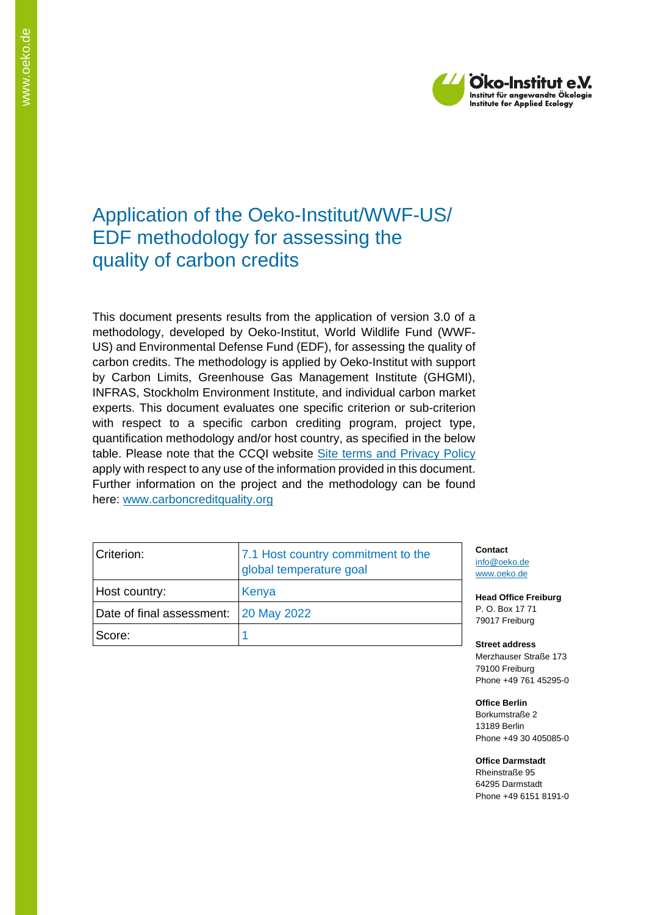

# Application of the Oeko-Institut/WWF-US/ EDF methodology for assessing the quality of carbon credits

This document presents results from the application of version 3.0 of a methodology, developed by Oeko-Institut, World Wildlife Fund (WWF-US) and Environmental Defense Fund (EDF), for assessing the quality of carbon credits. The methodology is applied by Oeko-Institut with support by Carbon Limits, Greenhouse Gas Management Institute (GHGMI), INFRAS, Stockholm Environment Institute, and individual carbon market experts. This document evaluates one specific criterion or sub-criterion with respect to a specific carbon crediting program, project type, quantification methodology and/or host country, as specified in the below table. Please note that the CCQI website [Site terms and Privacy Policy](https://carboncreditquality.org/terms.html) apply with respect to any use of the information provided in this document. Further information on the project and the methodology can be found here: [www.carboncreditquality.org](http://www.carboncreditquality.org/)

| Criterion:                            | 7.1 Host country commitment to the<br>global temperature goal |  |
|---------------------------------------|---------------------------------------------------------------|--|
| Host country:                         | Kenya                                                         |  |
| Date of final assessment: 20 May 2022 |                                                               |  |
| Score:                                |                                                               |  |

**Contact** [info@oeko.de](mailto:info@oeko.de) [www.oeko.de](http://www.oeko.de/)

**Head Office Freiburg** P. O. Box 17 71 79017 Freiburg

**Street address** Merzhauser Straße 173 79100 Freiburg Phone +49 761 45295-0

**Office Berlin** Borkumstraße 2 13189 Berlin Phone +49 30 405085-0

**Office Darmstadt** Rheinstraße 95

64295 Darmstadt Phone +49 6151 8191-0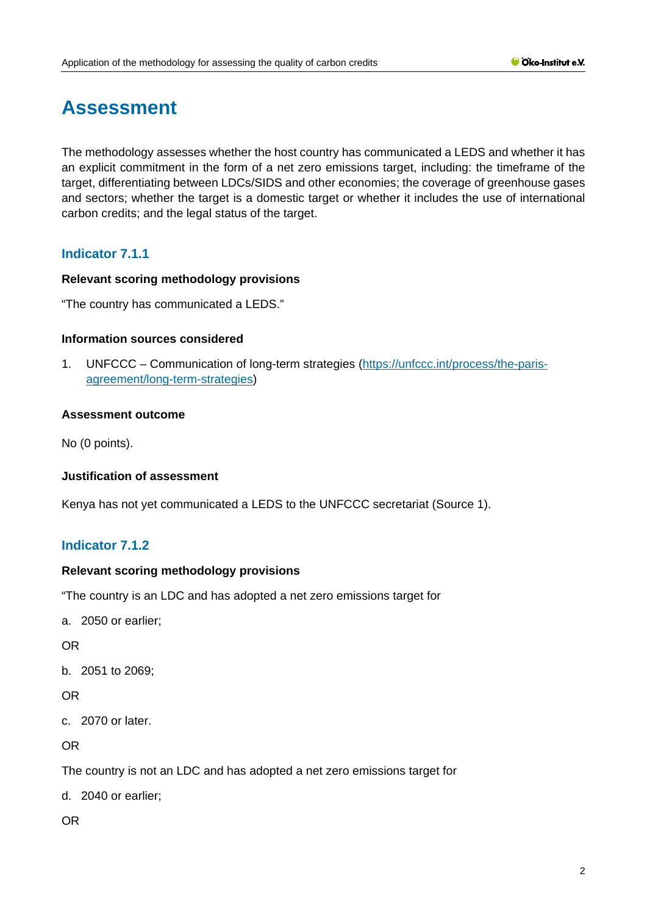# **Assessment**

The methodology assesses whether the host country has communicated a LEDS and whether it has an explicit commitment in the form of a net zero emissions target, including: the timeframe of the target, differentiating between LDCs/SIDS and other economies; the coverage of greenhouse gases and sectors; whether the target is a domestic target or whether it includes the use of international carbon credits; and the legal status of the target.

# **Indicator 7.1.1**

# **Relevant scoring methodology provisions**

"The country has communicated a LEDS."

# **Information sources considered**

1. UNFCCC – Communication of long-term strategies [\(https://unfccc.int/process/the-paris](https://unfccc.int/process/the-paris-agreement/long-term-strategies)[agreement/long-term-strategies\)](https://unfccc.int/process/the-paris-agreement/long-term-strategies)

# **Assessment outcome**

No (0 points).

# **Justification of assessment**

Kenya has not yet communicated a LEDS to the UNFCCC secretariat (Source 1).

# **Indicator 7.1.2**

#### **Relevant scoring methodology provisions**

"The country is an LDC and has adopted a net zero emissions target for

a. 2050 or earlier;

OR

b. 2051 to 2069;

# OR

c. 2070 or later.

OR

The country is not an LDC and has adopted a net zero emissions target for

d. 2040 or earlier;

OR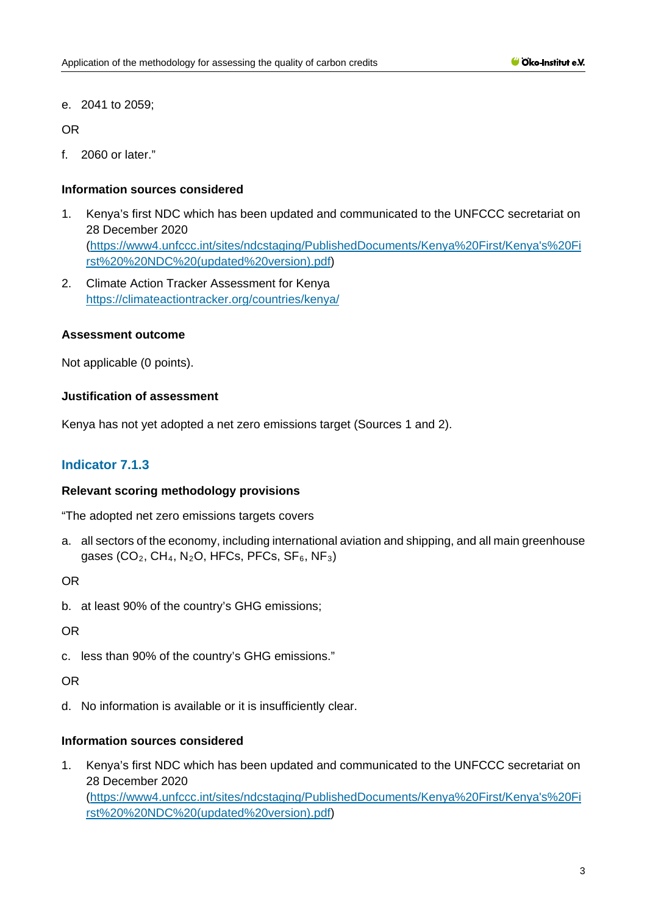e. 2041 to 2059;

OR

f. 2060 or later."

# **Information sources considered**

- 1. Kenya's first NDC which has been updated and communicated to the UNFCCC secretariat on 28 December 2020 [\(https://www4.unfccc.int/sites/ndcstaging/PublishedDocuments/Kenya%20First/Kenya's%20Fi](https://www4.unfccc.int/sites/ndcstaging/PublishedDocuments/Kenya%20First/Kenya) [rst%20%20NDC%20\(updated%20version\).pdf\)](https://www4.unfccc.int/sites/ndcstaging/PublishedDocuments/Kenya%20First/Kenya)
- 2. Climate Action Tracker Assessment for Kenya <https://climateactiontracker.org/countries/kenya/>

# **Assessment outcome**

Not applicable (0 points).

# **Justification of assessment**

Kenya has not yet adopted a net zero emissions target (Sources 1 and 2).

# **Indicator 7.1.3**

#### **Relevant scoring methodology provisions**

"The adopted net zero emissions targets covers

a. all sectors of the economy, including international aviation and shipping, and all main greenhouse gases (CO<sub>2</sub>, CH<sub>4</sub>, N<sub>2</sub>O, HFCs, PFCs, SF<sub>6</sub>, NF<sub>3</sub>)

OR

b. at least 90% of the country's GHG emissions;

OR

c. less than 90% of the country's GHG emissions."

OR

d. No information is available or it is insufficiently clear.

# **Information sources considered**

1. Kenya's first NDC which has been updated and communicated to the UNFCCC secretariat on 28 December 2020 [\(https://www4.unfccc.int/sites/ndcstaging/PublishedDocuments/Kenya%20First/Kenya's%20Fi](https://www4.unfccc.int/sites/ndcstaging/PublishedDocuments/Kenya%20First/Kenya) [rst%20%20NDC%20\(updated%20version\).pdf\)](https://www4.unfccc.int/sites/ndcstaging/PublishedDocuments/Kenya%20First/Kenya)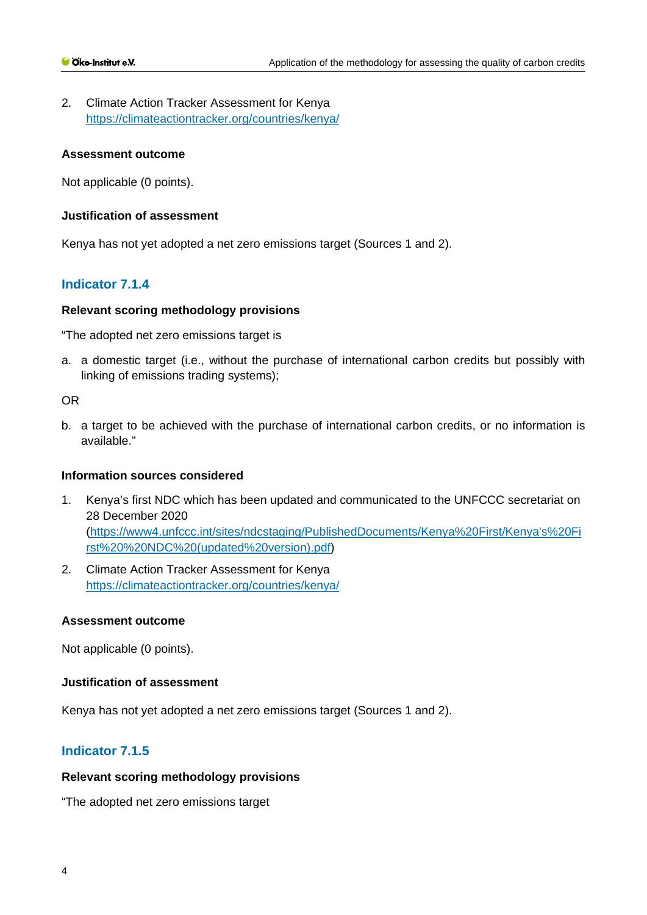2. Climate Action Tracker Assessment for Kenya <https://climateactiontracker.org/countries/kenya/>

#### **Assessment outcome**

Not applicable (0 points).

# **Justification of assessment**

Kenya has not yet adopted a net zero emissions target (Sources 1 and 2).

# **Indicator 7.1.4**

# **Relevant scoring methodology provisions**

"The adopted net zero emissions target is

a. a domestic target (i.e., without the purchase of international carbon credits but possibly with linking of emissions trading systems);

OR

b. a target to be achieved with the purchase of international carbon credits, or no information is available."

#### **Information sources considered**

- 1. Kenya's first NDC which has been updated and communicated to the UNFCCC secretariat on 28 December 2020 [\(https://www4.unfccc.int/sites/ndcstaging/PublishedDocuments/Kenya%20First/Kenya's%20Fi](https://www4.unfccc.int/sites/ndcstaging/PublishedDocuments/Kenya%20First/Kenya) [rst%20%20NDC%20\(updated%20version\).pdf\)](https://www4.unfccc.int/sites/ndcstaging/PublishedDocuments/Kenya%20First/Kenya)
- 2. Climate Action Tracker Assessment for Kenya <https://climateactiontracker.org/countries/kenya/>

# **Assessment outcome**

Not applicable (0 points).

#### **Justification of assessment**

Kenya has not yet adopted a net zero emissions target (Sources 1 and 2).

# **Indicator 7.1.5**

#### **Relevant scoring methodology provisions**

"The adopted net zero emissions target